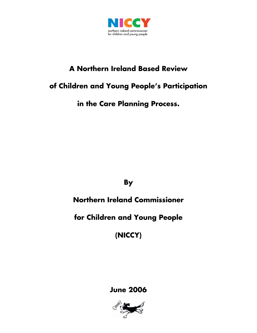

# **A Northern Ireland Based Review**

## **of Children and Young People's Participation**

**in the Care Planning Process.** 

**By** 

# **Northern Ireland Commissioner**

## **for Children and Young People**

**(NICCY)** 

### **June 2006**

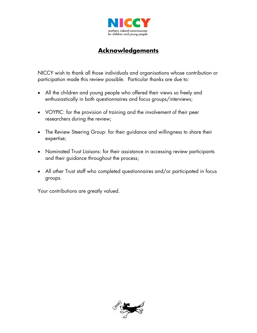

#### **Acknowledgements**

NICCY wish to thank all those individuals and organisations whose contribution or participation made this review possible. Particular thanks are due to:

- All the children and young people who offered their views so freely and enthusiastically in both questionnaires and focus groups/interviews;
- VOYPIC: for the provision of training and the involvement of their peer researchers during the review;
- The Review Steering Group: for their guidance and willingness to share their expertise;
- Nominated Trust Liaisons: for their assistance in accessing review participants and their guidance throughout the process;
- All other Trust staff who completed questionnaires and/or participated in focus groups.

Your contributions are greatly valued.